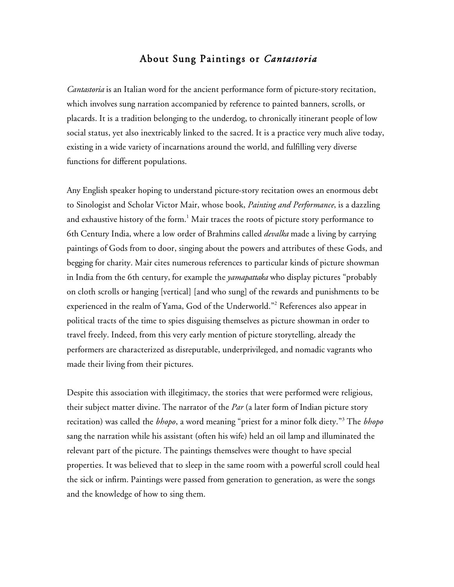## About Sung Paintings or *Cantastoria*

*Cantastoria* is an Italian word for the ancient performance form of picture-story recitation, which involves sung narration accompanied by reference to painted banners, scrolls, or placards. It is a tradition belonging to the underdog, to chronically itinerant people of low social status, yet also inextricably linked to the sacred. It is a practice very much alive today, existing in a wide variety of incarnations around the world, and fulfilling very diverse functions for different populations.

Any English speaker hoping to understand picture-story recitation owes an enormous debt to Sinologist and Scholar Victor Mair, whose book, *Painting and Performance*, is a dazzling and exhaustive history of the form. $^1$  Mair traces the roots of picture story performance to 6th Century India, where a low order of Brahmins called *devalka* made a living by carrying paintings of Gods from to door, singing about the powers and attributes of these Gods, and begging for charity. Mair cites numerous references to particular kinds of picture showman in India from the 6th century, for example the *yamapattaka* who display pictures "probably on cloth scrolls or hanging [vertical] [and who sung] of the rewards and punishments to be experienced in the realm of Yama, God of the Underworld."2 References also appear in political tracts of the time to spies disguising themselves as picture showman in order to travel freely. Indeed, from this very early mention of picture storytelling, already the performers are characterized as disreputable, underprivileged, and nomadic vagrants who made their living from their pictures.

Despite this association with illegitimacy, the stories that were performed were religious, their subject matter divine. The narrator of the *Par* (a later form of Indian picture story recitation) was called the *bhopo*, a word meaning "priest for a minor folk diety."<sup>3</sup> The *bhopo* sang the narration while his assistant (often his wife) held an oil lamp and illuminated the relevant part of the picture. The paintings themselves were thought to have special properties. It was believed that to sleep in the same room with a powerful scroll could heal the sick or infirm. Paintings were passed from generation to generation, as were the songs and the knowledge of how to sing them.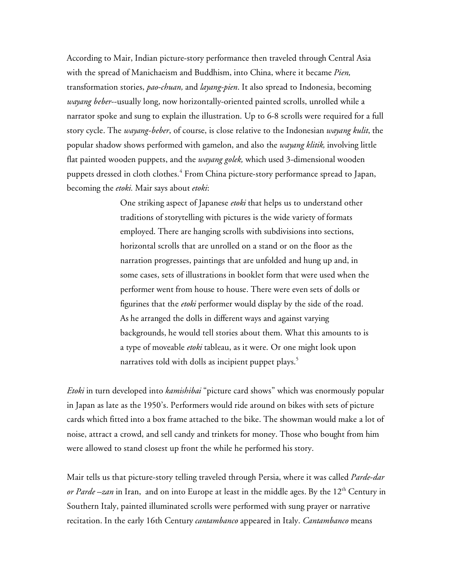According to Mair, Indian picture-story performance then traveled through Central Asia with the spread of Manichaeism and Buddhism, into China, where it became *Pien,* transformation stories, *pao-chuan,* and *layang-pien*. It also spread to Indonesia, becoming *wayang beber*--usually long, now horizontally-oriented painted scrolls, unrolled while a narrator spoke and sung to explain the illustration. Up to 6-8 scrolls were required for a full story cycle. The *wayang-beber*, of course, is close relative to the Indonesian *wayang kulit*, the popular shadow shows performed with gamelon, and also the *wayang klitik,* involving little flat painted wooden puppets, and the *wayang golek,* which used 3-dimensional wooden puppets dressed in cloth clothes. 4 From China picture-story performance spread to Japan, becoming the *etoki.* Mair says about *etoki*:

> One striking aspect of Japanese *etoki* that helps us to understand other traditions of storytelling with pictures is the wide variety of formats employed. There are hanging scrolls with subdivisions into sections, horizontal scrolls that are unrolled on a stand or on the floor as the narration progresses, paintings that are unfolded and hung up and, in some cases, sets of illustrations in booklet form that were used when the performer went from house to house. There were even sets of dolls or figurines that the *etoki* performer would display by the side of the road. As he arranged the dolls in different ways and against varying backgrounds, he would tell stories about them. What this amounts to is a type of moveable *etoki* tableau, as it were. Or one might look upon narratives told with dolls as incipient puppet plays.<sup>5</sup>

*Etoki* in turn developed into *kamishibai* "picture card shows" which was enormously popular in Japan as late as the 1950's. Performers would ride around on bikes with sets of picture cards which fitted into a box frame attached to the bike. The showman would make a lot of noise, attract a crowd, and sell candy and trinkets for money. Those who bought from him were allowed to stand closest up front the while he performed his story.

Mair tells us that picture-story telling traveled through Persia, where it was called *Parde-dar or Parde –zan* in Iran, and on into Europe at least in the middle ages. By the 12<sup>th</sup> Century in Southern Italy, painted illuminated scrolls were performed with sung prayer or narrative recitation. In the early 16th Century *cantambanco* appeared in Italy. *Cantambanco* means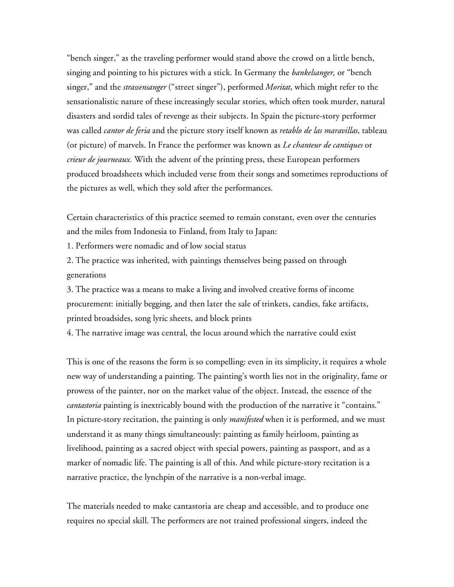"bench singer," as the traveling performer would stand above the crowd on a little bench, singing and pointing to his pictures with a stick. In Germany the *bankelsanger,* or "bench singer," and the *strassensanger* ("street singer"), performed *Moritat*, which might refer to the sensationalistic nature of these increasingly secular stories, which often took murder, natural disasters and sordid tales of revenge as their subjects. In Spain the picture-story performer was called *cantor de feria* and the picture story itself known as *retablo de las maravillas*, tableau (or picture) of marvels. In France the performer was known as *Le chanteur de cantiques* or *crieur de journeaux.* With the advent of the printing press, these European performers produced broadsheets which included verse from their songs and sometimes reproductions of the pictures as well, which they sold after the performances.

Certain characteristics of this practice seemed to remain constant, even over the centuries and the miles from Indonesia to Finland, from Italy to Japan:

1. Performers were nomadic and of low social status

2. The practice was inherited, with paintings themselves being passed on through generations

3. The practice was a means to make a living and involved creative forms of income procurement: initially begging, and then later the sale of trinkets, candies, fake artifacts, printed broadsides, song lyric sheets, and block prints

4. The narrative image was central, the locus around which the narrative could exist

This is one of the reasons the form is so compelling: even in its simplicity, it requires a whole new way of understanding a painting. The painting's worth lies not in the originality, fame or prowess of the painter, nor on the market value of the object. Instead, the essence of the *cantastoria* painting is inextricably bound with the production of the narrative it "contains." In picture-story recitation, the painting is only *manifested* when it is performed, and we must understand it as many things simultaneously: painting as family heirloom, painting as livelihood, painting as a sacred object with special powers, painting as passport, and as a marker of nomadic life. The painting is all of this. And while picture-story recitation is a narrative practice, the lynchpin of the narrative is a non-verbal image.

The materials needed to make cantastoria are cheap and accessible, and to produce one requires no special skill. The performers are not trained professional singers, indeed the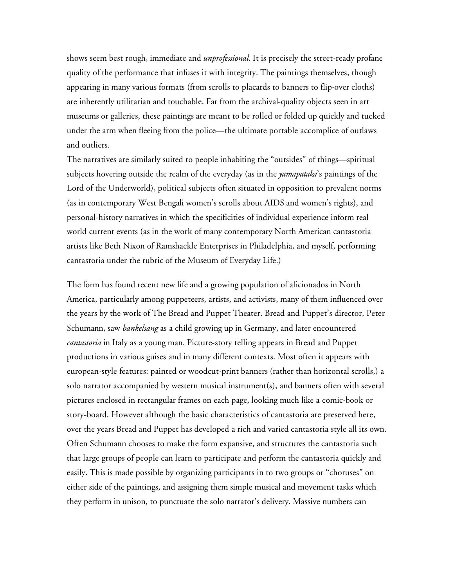shows seem best rough, immediate and *unprofessional*. It is precisely the street-ready profane quality of the performance that infuses it with integrity. The paintings themselves, though appearing in many various formats (from scrolls to placards to banners to flip-over cloths) are inherently utilitarian and touchable. Far from the archival-quality objects seen in art museums or galleries, these paintings are meant to be rolled or folded up quickly and tucked under the arm when fleeing from the police—the ultimate portable accomplice of outlaws and outliers.

The narratives are similarly suited to people inhabiting the "outsides" of things—spiritual subjects hovering outside the realm of the everyday (as in the *yamapataka*'s paintings of the Lord of the Underworld), political subjects often situated in opposition to prevalent norms (as in contemporary West Bengali women's scrolls about AIDS and women's rights), and personal-history narratives in which the specificities of individual experience inform real world current events (as in the work of many contemporary North American cantastoria artists like Beth Nixon of Ramshackle Enterprises in Philadelphia, and myself, performing cantastoria under the rubric of the Museum of Everyday Life.)

The form has found recent new life and a growing population of aficionados in North America, particularly among puppeteers, artists, and activists, many of them influenced over the years by the work of The Bread and Puppet Theater. Bread and Puppet's director, Peter Schumann, saw *bankelsang* as a child growing up in Germany, and later encountered *cantastoria* in Italy as a young man. Picture-story telling appears in Bread and Puppet productions in various guises and in many different contexts. Most often it appears with european-style features: painted or woodcut-print banners (rather than horizontal scrolls,) a solo narrator accompanied by western musical instrument(s), and banners often with several pictures enclosed in rectangular frames on each page, looking much like a comic-book or story-board. However although the basic characteristics of cantastoria are preserved here, over the years Bread and Puppet has developed a rich and varied cantastoria style all its own. Often Schumann chooses to make the form expansive, and structures the cantastoria such that large groups of people can learn to participate and perform the cantastoria quickly and easily. This is made possible by organizing participants in to two groups or "choruses" on either side of the paintings, and assigning them simple musical and movement tasks which they perform in unison, to punctuate the solo narrator's delivery. Massive numbers can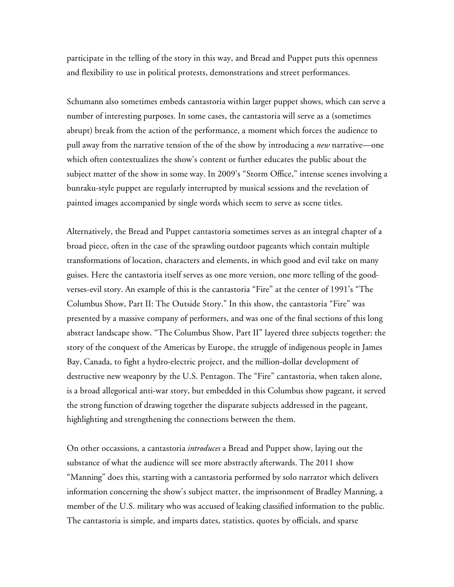participate in the telling of the story in this way, and Bread and Puppet puts this openness and flexibility to use in political protests, demonstrations and street performances.

Schumann also sometimes embeds cantastoria within larger puppet shows, which can serve a number of interesting purposes. In some cases, the cantastoria will serve as a (sometimes abrupt) break from the action of the performance, a moment which forces the audience to pull away from the narrative tension of the of the show by introducing a *new* narrative—one which often contextualizes the show's content or further educates the public about the subject matter of the show in some way. In 2009's "Storm Office," intense scenes involving a bunraku-style puppet are regularly interrupted by musical sessions and the revelation of painted images accompanied by single words which seem to serve as scene titles.

Alternatively, the Bread and Puppet cantastoria sometimes serves as an integral chapter of a broad piece, often in the case of the sprawling outdoor pageants which contain multiple transformations of location, characters and elements, in which good and evil take on many guises. Here the cantastoria itself serves as one more version, one more telling of the goodverses-evil story. An example of this is the cantastoria "Fire" at the center of 1991's "The Columbus Show, Part II: The Outside Story." In this show, the cantastoria "Fire" was presented by a massive company of performers, and was one of the final sections of this long abstract landscape show. "The Columbus Show, Part II" layered three subjects together: the story of the conquest of the Americas by Europe, the struggle of indigenous people in James Bay, Canada, to fight a hydro-electric project, and the million-dollar development of destructive new weaponry by the U.S. Pentagon. The "Fire" cantastoria, when taken alone, is a broad allegorical anti-war story, but embedded in this Columbus show pageant, it served the strong function of drawing together the disparate subjects addressed in the pageant, highlighting and strengthening the connections between the them.

On other occassions, a cantastoria *introduces* a Bread and Puppet show, laying out the substance of what the audience will see more abstractly afterwards. The 2011 show "Manning" does this, starting with a cantastoria performed by solo narrator which delivers information concerning the show's subject matter, the imprisonment of Bradley Manning, a member of the U.S. military who was accused of leaking classified information to the public. The cantastoria is simple, and imparts dates, statistics, quotes by officials, and sparse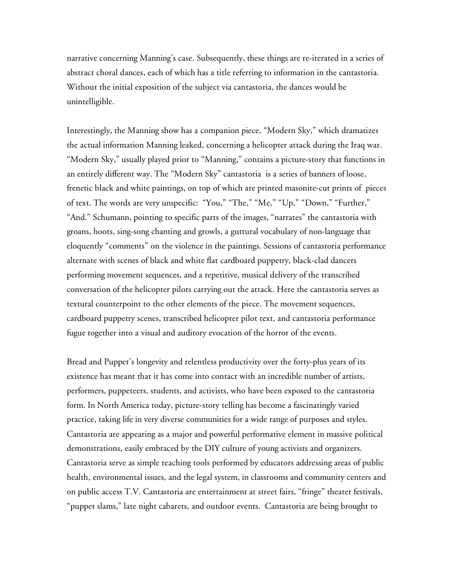narrative concerning Manning's case. Subsequently, these things are re-iterated in a series of abstract choral dances, each of which has a title referring to information in the cantastoria. Without the initial exposition of the subject via cantastoria, the dances would be unintelligible.

Interestingly, the Manning show has a companion piece, "Modern Sky," which dramatizes the actual information Manning leaked, concerning a helicopter attack during the Iraq war. "Modern Sky," usually played prior to "Manning," contains a picture-story that functions in an entirely different way. The "Modern Sky" cantastoria is a series of banners of loose, frenetic black and white paintings, on top of which are printed masonite-cut prints of pieces of text. The words are very unspecific: "You," "The," "Me," "Up," "Down," "Further," "And." Schumann, pointing to specific parts of the images, "narrates" the cantastoria with groans, hoots, sing-song chanting and growls, a guttural vocabulary of non-language that eloquently "comments" on the violence in the paintings. Sessions of cantastoria performance alternate with scenes of black and white flat cardboard puppetry, black-clad dancers performing movement sequences, and a repetitive, musical delivery of the transcribed conversation of the helicopter pilots carrying out the attack. Here the cantastoria serves as textural counterpoint to the other elements of the piece. The movement sequences, cardboard puppetry scenes, transcribed helicopter pilot text, and cantastoria performance fugue together into a visual and auditory evocation of the horror of the events.

Bread and Puppet's longevity and relentless productivity over the forty-plus years of its existence has meant that it has come into contact with an incredible number of artists, performers, puppeteers, students, and activists, who have been exposed to the cantastoria form. In North America today, picture-story telling has become a fascinatingly varied practice, taking life in very diverse communities for a wide range of purposes and styles. Cantastoria are appearing as a major and powerful performative element in massive political demonstrations, easily embraced by the DIY culture of young activists and organizers. Cantastoria serve as simple teaching tools performed by educators addressing areas of public health, environmental issues, and the legal system, in classrooms and community centers and on public access T.V. Cantastoria are entertainment at street fairs, "fringe" theater festivals, "puppet slams," late night cabarets, and outdoor events. Cantastoria are being brought to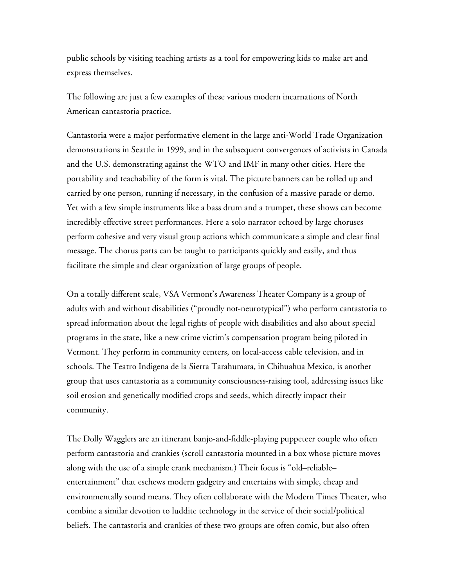public schools by visiting teaching artists as a tool for empowering kids to make art and express themselves.

The following are just a few examples of these various modern incarnations of North American cantastoria practice.

Cantastoria were a major performative element in the large anti-World Trade Organization demonstrations in Seattle in 1999, and in the subsequent convergences of activists in Canada and the U.S. demonstrating against the WTO and IMF in many other cities. Here the portability and teachability of the form is vital. The picture banners can be rolled up and carried by one person, running if necessary, in the confusion of a massive parade or demo. Yet with a few simple instruments like a bass drum and a trumpet, these shows can become incredibly effective street performances. Here a solo narrator echoed by large choruses perform cohesive and very visual group actions which communicate a simple and clear final message. The chorus parts can be taught to participants quickly and easily, and thus facilitate the simple and clear organization of large groups of people.

On a totally different scale, VSA Vermont's Awareness Theater Company is a group of adults with and without disabilities ("proudly not-neurotypical") who perform cantastoria to spread information about the legal rights of people with disabilities and also about special programs in the state, like a new crime victim's compensation program being piloted in Vermont. They perform in community centers, on local-access cable television, and in schools. The Teatro Indigena de la Sierra Tarahumara, in Chihuahua Mexico, is another group that uses cantastoria as a community consciousness-raising tool, addressing issues like soil erosion and genetically modified crops and seeds, which directly impact their community.

The Dolly Wagglers are an itinerant banjo-and-fiddle-playing puppeteer couple who often perform cantastoria and crankies (scroll cantastoria mounted in a box whose picture moves along with the use of a simple crank mechanism.) Their focus is "old–reliable– entertainment" that eschews modern gadgetry and entertains with simple, cheap and environmentally sound means. They often collaborate with the Modern Times Theater, who combine a similar devotion to luddite technology in the service of their social/political beliefs. The cantastoria and crankies of these two groups are often comic, but also often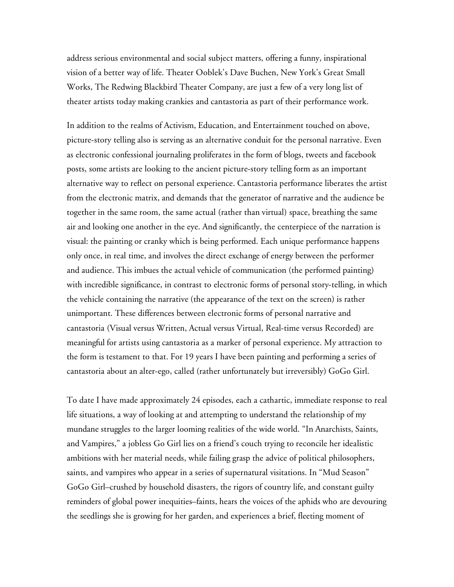address serious environmental and social subject matters, offering a funny, inspirational vision of a better way of life. Theater Ooblek's Dave Buchen, New York's Great Small Works, The Redwing Blackbird Theater Company, are just a few of a very long list of theater artists today making crankies and cantastoria as part of their performance work.

In addition to the realms of Activism, Education, and Entertainment touched on above, picture-story telling also is serving as an alternative conduit for the personal narrative. Even as electronic confessional journaling proliferates in the form of blogs, tweets and facebook posts, some artists are looking to the ancient picture-story telling form as an important alternative way to reflect on personal experience. Cantastoria performance liberates the artist from the electronic matrix, and demands that the generator of narrative and the audience be together in the same room, the same actual (rather than virtual) space, breathing the same air and looking one another in the eye. And significantly, the centerpiece of the narration is visual: the painting or cranky which is being performed. Each unique performance happens only once, in real time, and involves the direct exchange of energy between the performer and audience. This imbues the actual vehicle of communication (the performed painting) with incredible significance, in contrast to electronic forms of personal story-telling, in which the vehicle containing the narrative (the appearance of the text on the screen) is rather unimportant. These differences between electronic forms of personal narrative and cantastoria (Visual versus Written, Actual versus Virtual, Real-time versus Recorded) are meaningful for artists using cantastoria as a marker of personal experience. My attraction to the form is testament to that. For 19 years I have been painting and performing a series of cantastoria about an alter-ego, called (rather unfortunately but irreversibly) GoGo Girl.

To date I have made approximately 24 episodes, each a cathartic, immediate response to real life situations, a way of looking at and attempting to understand the relationship of my mundane struggles to the larger looming realities of the wide world. "In Anarchists, Saints, and Vampires," a jobless Go Girl lies on a friend's couch trying to reconcile her idealistic ambitions with her material needs, while failing grasp the advice of political philosophers, saints, and vampires who appear in a series of supernatural visitations. In "Mud Season" GoGo Girl–crushed by household disasters, the rigors of country life, and constant guilty reminders of global power inequities–faints, hears the voices of the aphids who are devouring the seedlings she is growing for her garden, and experiences a brief, fleeting moment of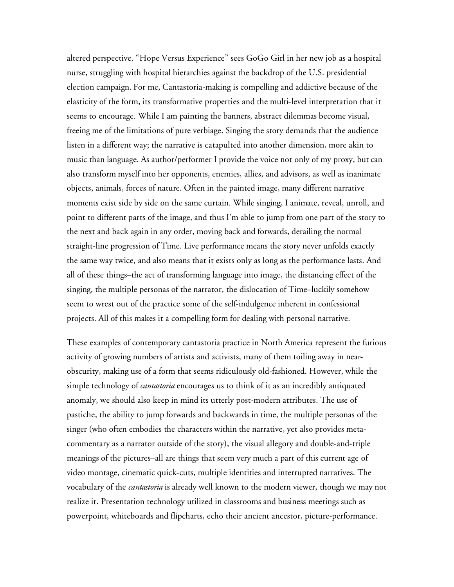altered perspective. "Hope Versus Experience" sees GoGo Girl in her new job as a hospital nurse, struggling with hospital hierarchies against the backdrop of the U.S. presidential election campaign. For me, Cantastoria-making is compelling and addictive because of the elasticity of the form, its transformative properties and the multi-level interpretation that it seems to encourage. While I am painting the banners, abstract dilemmas become visual, freeing me of the limitations of pure verbiage. Singing the story demands that the audience listen in a different way; the narrative is catapulted into another dimension, more akin to music than language. As author/performer I provide the voice not only of my proxy, but can also transform myself into her opponents, enemies, allies, and advisors, as well as inanimate objects, animals, forces of nature. Often in the painted image, many different narrative moments exist side by side on the same curtain. While singing, I animate, reveal, unroll, and point to different parts of the image, and thus I'm able to jump from one part of the story to the next and back again in any order, moving back and forwards, derailing the normal straight-line progression of Time. Live performance means the story never unfolds exactly the same way twice, and also means that it exists only as long as the performance lasts. And all of these things–the act of transforming language into image, the distancing effect of the singing, the multiple personas of the narrator, the dislocation of Time–luckily somehow seem to wrest out of the practice some of the self-indulgence inherent in confessional projects. All of this makes it a compelling form for dealing with personal narrative.

These examples of contemporary cantastoria practice in North America represent the furious activity of growing numbers of artists and activists, many of them toiling away in nearobscurity, making use of a form that seems ridiculously old-fashioned. However, while the simple technology of *cantastoria* encourages us to think of it as an incredibly antiquated anomaly, we should also keep in mind its utterly post-modern attributes. The use of pastiche, the ability to jump forwards and backwards in time, the multiple personas of the singer (who often embodies the characters within the narrative, yet also provides metacommentary as a narrator outside of the story), the visual allegory and double-and-triple meanings of the pictures–all are things that seem very much a part of this current age of video montage, cinematic quick-cuts, multiple identities and interrupted narratives. The vocabulary of the *cantastoria* is already well known to the modern viewer, though we may not realize it. Presentation technology utilized in classrooms and business meetings such as powerpoint, whiteboards and flipcharts, echo their ancient ancestor, picture-performance.